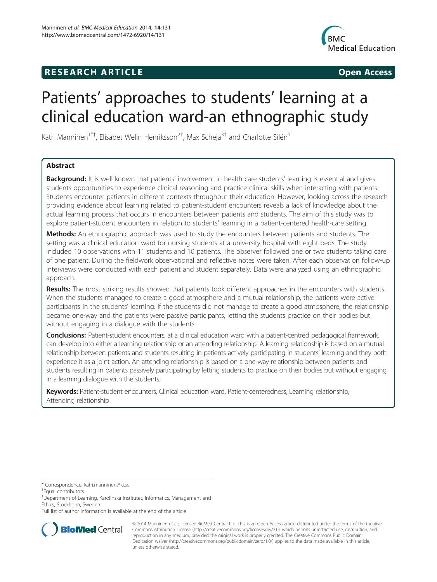## **RESEARCH ARTICLE Example 2014 CONSIDERING CONSIDERING CONSIDERING CONSIDERING CONSIDERING CONSIDERING CONSIDERING CONSIDERING CONSIDERING CONSIDERING CONSIDERING CONSIDERING CONSIDERING CONSIDERING CONSIDERING CONSIDE**



# Patients' approaches to students' learning at a clinical education ward-an ethnographic study

Katri Manninen<sup>1\*†</sup>, Elisabet Welin Henriksson<sup>2†</sup>, Max Scheja<sup>3†</sup> and Charlotte Silén<sup>1</sup>

## Abstract

Background: It is well known that patients' involvement in health care students' learning is essential and gives students opportunities to experience clinical reasoning and practice clinical skills when interacting with patients. Students encounter patients in different contexts throughout their education. However, looking across the research providing evidence about learning related to patient-student encounters reveals a lack of knowledge about the actual learning process that occurs in encounters between patients and students. The aim of this study was to explore patient-student encounters in relation to students' learning in a patient-centered health-care setting.

Methods: An ethnographic approach was used to study the encounters between patients and students. The setting was a clinical education ward for nursing students at a university hospital with eight beds. The study included 10 observations with 11 students and 10 patients. The observer followed one or two students taking care of one patient. During the fieldwork observational and reflective notes were taken. After each observation follow-up interviews were conducted with each patient and student separately. Data were analyzed using an ethnographic approach.

Results: The most striking results showed that patients took different approaches in the encounters with students. When the students managed to create a good atmosphere and a mutual relationship, the patients were active participants in the students' learning. If the students did not manage to create a good atmosphere, the relationship became one-way and the patients were passive participants, letting the students practice on their bodies but without engaging in a dialogue with the students.

**Conclusions:** Patient-student encounters, at a clinical education ward with a patient-centred pedagogical framework, can develop into either a learning relationship or an attending relationship. A learning relationship is based on a mutual relationship between patients and students resulting in patients actively participating in students' learning and they both experience it as a joint action. An attending relationship is based on a one-way relationship between patients and students resulting in patients passively participating by letting students to practice on their bodies but without engaging in a learning dialogue with the students.

Keywords: Patient-student encounters, Clinical education ward, Patient-centeredness, Learning relationship, Attending relationship

\* Correspondence: [katri.manninen@ki.se](mailto:katri.manninen@ki.se) †

<sup>1</sup>Department of Learning, Karolinska Institutet, Informatics, Management and Ethics, Stockholm, Sweden

Full list of author information is available at the end of the article



© 2014 Manninen et al.; licensee BioMed Central Ltd. This is an Open Access article distributed under the terms of the Creative Commons Attribution License [\(http://creativecommons.org/licenses/by/2.0\)](http://creativecommons.org/licenses/by/2.0), which permits unrestricted use, distribution, and reproduction in any medium, provided the original work is properly credited. The Creative Commons Public Domain Dedication waiver [\(http://creativecommons.org/publicdomain/zero/1.0/](http://creativecommons.org/publicdomain/zero/1.0/)) applies to the data made available in this article, unless otherwise stated.

Equal contributors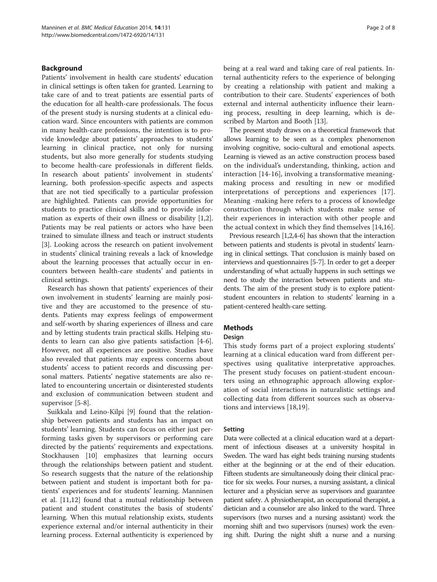## Background

Patients' involvement in health care students' education in clinical settings is often taken for granted. Learning to take care of and to treat patients are essential parts of the education for all health-care professionals. The focus of the present study is nursing students at a clinical education ward. Since encounters with patients are common in many health-care professions, the intention is to provide knowledge about patients' approaches to students' learning in clinical practice, not only for nursing students, but also more generally for students studying to become health-care professionals in different fields. In research about patients' involvement in students' learning, both profession-specific aspects and aspects that are not tied specifically to a particular profession are highlighted. Patients can provide opportunities for students to practice clinical skills and to provide information as experts of their own illness or disability [\[1,2](#page-7-0)]. Patients may be real patients or actors who have been trained to simulate illness and teach or instruct students [[3\]](#page-7-0). Looking across the research on patient involvement in students' clinical training reveals a lack of knowledge about the learning processes that actually occur in encounters between health-care students' and patients in clinical settings.

Research has shown that patients' experiences of their own involvement in students' learning are mainly positive and they are accustomed to the presence of students. Patients may express feelings of empowerment and self-worth by sharing experiences of illness and care and by letting students train practical skills. Helping students to learn can also give patients satisfaction [[4-6](#page-7-0)]. However, not all experiences are positive. Studies have also revealed that patients may express concerns about students' access to patient records and discussing personal matters. Patients' negative statements are also related to encountering uncertain or disinterested students and exclusion of communication between student and supervisor [\[5](#page-7-0)-[8\]](#page-7-0).

Suikkala and Leino-Kilpi [[9](#page-7-0)] found that the relationship between patients and students has an impact on students' learning. Students can focus on either just performing tasks given by supervisors or performing care directed by the patients' requirements and expectations. Stockhausen [[10\]](#page-7-0) emphasizes that learning occurs through the relationships between patient and student. So research suggests that the nature of the relationship between patient and student is important both for patients' experiences and for students' learning. Manninen et al. [[11,12\]](#page-7-0) found that a mutual relationship between patient and student constitutes the basis of students' learning. When this mutual relationship exists, students experience external and/or internal authenticity in their learning process. External authenticity is experienced by being at a real ward and taking care of real patients. Internal authenticity refers to the experience of belonging by creating a relationship with patient and making a contribution to their care. Students' experiences of both external and internal authenticity influence their learning process, resulting in deep learning, which is described by Marton and Booth [[13\]](#page-7-0).

The present study draws on a theoretical framework that allows learning to be seen as a complex phenomenon involving cognitive, socio-cultural and emotional aspects. Learning is viewed as an active construction process based on the individual's understanding, thinking, action and interaction [[14-16\]](#page-7-0), involving a transformative meaningmaking process and resulting in new or modified interpretations of perceptions and experiences [\[17](#page-7-0)]. Meaning -making here refers to a process of knowledge construction through which students make sense of their experiences in interaction with other people and the actual context in which they find themselves [[14,16\]](#page-7-0).

Previous research [\[1,2,4](#page-7-0)-[6](#page-7-0)] has shown that the interaction between patients and students is pivotal in students' learning in clinical settings. That conclusion is mainly based on interviews and questionnaires [\[5-7\]](#page-7-0). In order to get a deeper understanding of what actually happens in such settings we need to study the interaction between patients and students. The aim of the present study is to explore patientstudent encounters in relation to students' learning in a patient-centered health-care setting.

## **Methods**

#### Design

This study forms part of a project exploring students' learning at a clinical education ward from different perspectives using qualitative interpretative approaches. The present study focuses on patient-student encounters using an ethnographic approach allowing exploration of social interactions in naturalistic settings and collecting data from different sources such as observations and interviews [\[18,19](#page-7-0)].

#### Setting

Data were collected at a clinical education ward at a department of infectious diseases at a university hospital in Sweden. The ward has eight beds training nursing students either at the beginning or at the end of their education. Fifteen students are simultaneously doing their clinical practice for six weeks. Four nurses, a nursing assistant, a clinical lecturer and a physician serve as supervisors and guarantee patient safety. A physiotherapist, an occupational therapist, a dietician and a counselor are also linked to the ward. Three supervisors (two nurses and a nursing assistant) work the morning shift and two supervisors (nurses) work the evening shift. During the night shift a nurse and a nursing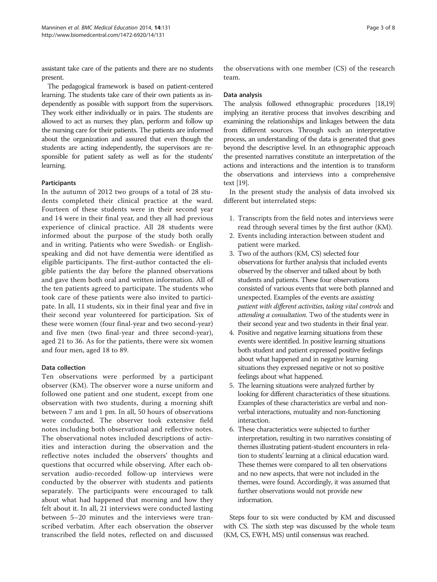assistant take care of the patients and there are no students present.

The pedagogical framework is based on patient-centered learning. The students take care of their own patients as independently as possible with support from the supervisors. They work either individually or in pairs. The students are allowed to act as nurses; they plan, perform and follow up the nursing care for their patients. The patients are informed about the organization and assured that even though the students are acting independently, the supervisors are responsible for patient safety as well as for the students' learning.

## Participants

In the autumn of 2012 two groups of a total of 28 students completed their clinical practice at the ward. Fourteen of these students were in their second year and 14 were in their final year, and they all had previous experience of clinical practice. All 28 students were informed about the purpose of the study both orally and in writing. Patients who were Swedish- or Englishspeaking and did not have dementia were identified as eligible participants. The first-author contacted the eligible patients the day before the planned observations and gave them both oral and written information. All of the ten patients agreed to participate. The students who took care of these patients were also invited to participate. In all, 11 students, six in their final year and five in their second year volunteered for participation. Six of these were women (four final-year and two second-year) and five men (two final-year and three second-year), aged 21 to 36. As for the patients, there were six women and four men, aged 18 to 89.

## Data collection

Ten observations were performed by a participant observer (KM). The observer wore a nurse uniform and followed one patient and one student, except from one observation with two students, during a morning shift between 7 am and 1 pm. In all, 50 hours of observations were conducted. The observer took extensive field notes including both observational and reflective notes. The observational notes included descriptions of activities and interaction during the observation and the reflective notes included the observers' thoughts and questions that occurred while observing. After each observation audio-recorded follow-up interviews were conducted by the observer with students and patients separately. The participants were encouraged to talk about what had happened that morning and how they felt about it. In all, 21 interviews were conducted lasting between 5–20 minutes and the interviews were transcribed verbatim. After each observation the observer transcribed the field notes, reflected on and discussed the observations with one member (CS) of the research team.

#### Data analysis

The analysis followed ethnographic procedures [[18,19](#page-7-0)] implying an iterative process that involves describing and examining the relationships and linkages between the data from different sources. Through such an interpretative process, an understanding of the data is generated that goes beyond the descriptive level. In an ethnographic approach the presented narratives constitute an interpretation of the actions and interactions and the intention is to transform the observations and interviews into a comprehensive text [\[19\]](#page-7-0).

In the present study the analysis of data involved six different but interrelated steps:

- 1. Transcripts from the field notes and interviews were read through several times by the first author (KM).
- 2. Events including interaction between student and patient were marked.
- 3. Two of the authors (KM, CS) selected four observations for further analysis that included events observed by the observer and talked about by both students and patients. These four observations consisted of various events that were both planned and unexpected. Examples of the events are assisting patient with different activities, taking vital controls and attending a consultation. Two of the students were in their second year and two students in their final year.
- 4. Positive and negative learning situations from these events were identified. In positive learning situations both student and patient expressed positive feelings about what happened and in negative learning situations they expressed negative or not so positive feelings about what happened.
- 5. The learning situations were analyzed further by looking for different characteristics of these situations. Examples of these characteristics are verbal and nonverbal interactions, mutuality and non-functioning interaction.
- 6. These characteristics were subjected to further interpretation, resulting in two narratives consisting of themes illustrating patient-student encounters in relation to students' learning at a clinical education ward. These themes were compared to all ten observations and no new aspects, that were not included in the themes, were found. Accordingly, it was assumed that further observations would not provide new information.

Steps four to six were conducted by KM and discussed with CS. The sixth step was discussed by the whole team (KM, CS, EWH, MS) until consensus was reached.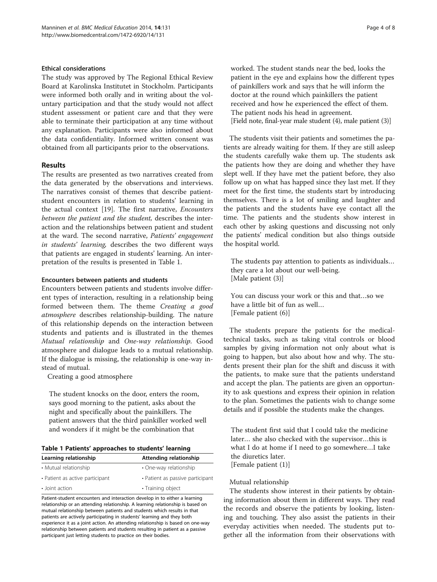#### <span id="page-3-0"></span>Ethical considerations

The study was approved by The Regional Ethical Review Board at Karolinska Institutet in Stockholm. Participants were informed both orally and in writing about the voluntary participation and that the study would not affect student assessment or patient care and that they were able to terminate their participation at any time without any explanation. Participants were also informed about the data confidentiality. Informed written consent was obtained from all participants prior to the observations.

#### Results

The results are presented as two narratives created from the data generated by the observations and interviews. The narratives consist of themes that describe patientstudent encounters in relation to students' learning in the actual context [\[19](#page-7-0)]. The first narrative, Encounters between the patient and the student, describes the interaction and the relationships between patient and student at the ward. The second narrative, Patients' engagement in students' learning, describes the two different ways that patients are engaged in students' learning. An interpretation of the results is presented in Table 1.

#### Encounters between patients and students

Encounters between patients and students involve different types of interaction, resulting in a relationship being formed between them. The theme Creating a good atmosphere describes relationship-building. The nature of this relationship depends on the interaction between students and patients and is illustrated in the themes Mutual relationship and One-way relationship. Good atmosphere and dialogue leads to a mutual relationship. If the dialogue is missing, the relationship is one-way instead of mutual.

Creating a good atmosphere

The student knocks on the door, enters the room, says good morning to the patient, asks about the night and specifically about the painkillers. The patient answers that the third painkiller worked well and wonders if it might be the combination that

|  |  |  | Table 1 Patients' approaches to students' learning |  |  |  |
|--|--|--|----------------------------------------------------|--|--|--|
|--|--|--|----------------------------------------------------|--|--|--|

| Learning relationship           | Attending relationship           |  |  |
|---------------------------------|----------------------------------|--|--|
| • Mutual relationship           | • One-way relationship           |  |  |
| • Patient as active participant | • Patient as passive participant |  |  |
| • Joint action                  | • Training object                |  |  |

Patient-student encounters and interaction develop in to either a learning relationship or an attending relationship. A learning relationship is based on mutual relationship between patients and students which results in that patients are actively participating in students' learning and they both experience it as a joint action. An attending relationship is based on one-way relationship between patients and students resulting in patient as a passive participant just letting students to practice on their bodies.

worked. The student stands near the bed, looks the patient in the eye and explains how the different types of painkillers work and says that he will inform the doctor at the round which painkillers the patient received and how he experienced the effect of them. The patient nods his head in agreement. [Field note, final-year male student (4), male patient (3)]

The students visit their patients and sometimes the patients are already waiting for them. If they are still asleep the students carefully wake them up. The students ask the patients how they are doing and whether they have slept well. If they have met the patient before, they also follow up on what has happed since they last met. If they meet for the first time, the students start by introducing themselves. There is a lot of smiling and laughter and the patients and the students have eye contact all the time. The patients and the students show interest in each other by asking questions and discussing not only the patients' medical condition but also things outside the hospital world.

The students pay attention to patients as individuals… they care a lot about our well-being. [Male patient (3)]

You can discuss your work or this and that…so we have a little bit of fun as well… [Female patient (6)]

The students prepare the patients for the medicaltechnical tasks, such as taking vital controls or blood samples by giving information not only about what is going to happen, but also about how and why. The students present their plan for the shift and discuss it with the patients, to make sure that the patients understand and accept the plan. The patients are given an opportunity to ask questions and express their opinion in relation to the plan. Sometimes the patients wish to change some details and if possible the students make the changes.

The student first said that I could take the medicine later… she also checked with the supervisor…this is what I do at home if I need to go somewhere…I take the diuretics later.

[Female patient (1)]

#### Mutual relationship

The students show interest in their patients by obtaining information about them in different ways. They read the records and observe the patients by looking, listening and touching. They also assist the patients in their everyday activities when needed. The students put together all the information from their observations with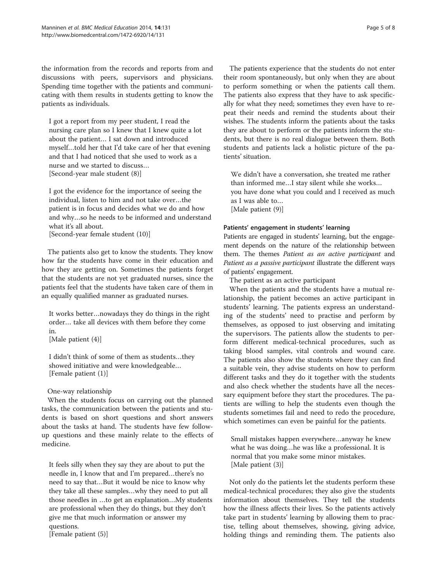the information from the records and reports from and discussions with peers, supervisors and physicians. Spending time together with the patients and communicating with them results in students getting to know the patients as individuals.

I got a report from my peer student, I read the nursing care plan so I knew that I knew quite a lot about the patient… I sat down and introduced myself…told her that I'd take care of her that evening and that I had noticed that she used to work as a nurse and we started to discuss… [Second-year male student (8)]

I got the evidence for the importance of seeing the individual, listen to him and not take over…the patient is in focus and decides what we do and how and why…so he needs to be informed and understand what it's all about. [Second-year female student (10)]

The patients also get to know the students. They know how far the students have come in their education and how they are getting on. Sometimes the patients forget that the students are not yet graduated nurses, since the patients feel that the students have taken care of them in an equally qualified manner as graduated nurses.

It works better…nowadays they do things in the right order… take all devices with them before they come in.

[Male patient (4)]

I didn't think of some of them as students…they showed initiative and were knowledgeable… [Female patient (1)]

One-way relationship

When the students focus on carrying out the planned tasks, the communication between the patients and students is based on short questions and short answers about the tasks at hand. The students have few followup questions and these mainly relate to the effects of medicine.

It feels silly when they say they are about to put the needle in, I know that and I'm prepared…there's no need to say that…But it would be nice to know why they take all these samples…why they need to put all those needles in …to get an explanation…My students are professional when they do things, but they don't give me that much information or answer my questions.

[Female patient (5)]

The patients experience that the students do not enter their room spontaneously, but only when they are about to perform something or when the patients call them. The patients also express that they have to ask specifically for what they need; sometimes they even have to repeat their needs and remind the students about their wishes. The students inform the patients about the tasks they are about to perform or the patients inform the students, but there is no real dialogue between them. Both students and patients lack a holistic picture of the patients' situation.

We didn't have a conversation, she treated me rather than informed me…I stay silent while she works… you have done what you could and I received as much as I was able to… [Male patient (9)]

## Patients' engagement in students' learning

Patients are engaged in students' learning, but the engagement depends on the nature of the relationship between them. The themes Patient as an active participant and Patient as a passive participant illustrate the different ways of patients' engagement.

The patient as an active participant

When the patients and the students have a mutual relationship, the patient becomes an active participant in students' learning. The patients express an understanding of the students' need to practise and perform by themselves, as opposed to just observing and imitating the supervisors. The patients allow the students to perform different medical-technical procedures, such as taking blood samples, vital controls and wound care. The patients also show the students where they can find a suitable vein, they advise students on how to perform different tasks and they do it together with the students and also check whether the students have all the necessary equipment before they start the procedures. The patients are willing to help the students even though the students sometimes fail and need to redo the procedure, which sometimes can even be painful for the patients.

Small mistakes happen everywhere…anyway he knew what he was doing…he was like a professional. It is normal that you make some minor mistakes. [Male patient (3)]

Not only do the patients let the students perform these medical-technical procedures; they also give the students information about themselves. They tell the students how the illness affects their lives. So the patients actively take part in students' learning by allowing them to practise, telling about themselves, showing, giving advice, holding things and reminding them. The patients also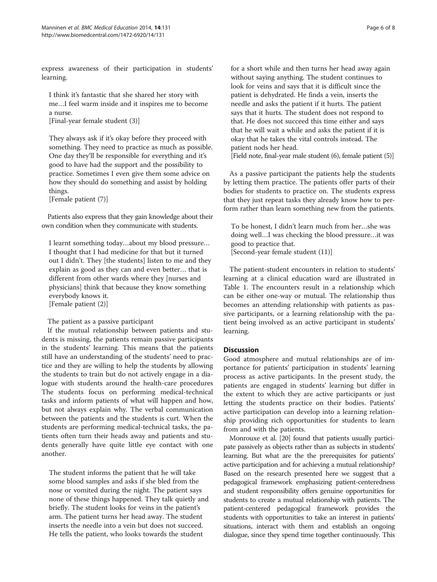express awareness of their participation in students' learning.

I think it's fantastic that she shared her story with me…I feel warm inside and it inspires me to become a nurse.

[Final-year female student (3)]

They always ask if it's okay before they proceed with something. They need to practice as much as possible. One day they'll be responsible for everything and it's good to have had the support and the possibility to practice. Sometimes I even give them some advice on how they should do something and assist by holding things.

[Female patient (7)]

Patients also express that they gain knowledge about their own condition when they communicate with students.

I learnt something today…about my blood pressure… I thought that I had medicine for that but it turned out I didn't. They [the students] listen to me and they explain as good as they can and even better… that is different from other wards where they [nurses and physicians] think that because they know something everybody knows it. [Female patient (2)]

The patient as a passive participant

If the mutual relationship between patients and students is missing, the patients remain passive participants in the students' learning. This means that the patients still have an understanding of the students' need to practice and they are willing to help the students by allowing the students to train but do not actively engage in a dialogue with students around the health-care procedures The students focus on performing medical-technical tasks and inform patients of what will happen and how, but not always explain why. The verbal communication between the patients and the students is curt. When the students are performing medical-technical tasks, the patients often turn their heads away and patients and students generally have quite little eye contact with one another.

The student informs the patient that he will take some blood samples and asks if she bled from the nose or vomited during the night. The patient says none of these things happened. They talk quietly and briefly. The student looks for veins in the patient's arm. The patient turns her head away. The student inserts the needle into a vein but does not succeed. He tells the patient, who looks towards the student

for a short while and then turns her head away again without saying anything. The student continues to look for veins and says that it is difficult since the patient is dehydrated. He finds a vein, inserts the needle and asks the patient if it hurts. The patient says that it hurts. The student does not respond to that. He does not succeed this time either and says that he will wait a while and asks the patient if it is okay that he takes the vital controls instead. The patient nods her head. [Field note, final-year male student (6), female patient (5)]

As a passive participant the patients help the students by letting them practice. The patients offer parts of their bodies for students to practice on. The students express that they just repeat tasks they already know how to perform rather than learn something new from the patients.

To be honest, I didn't learn much from her…she was doing well…I was checking the blood pressure…it was good to practice that. [Second-year female student (11)]

The patient-student encounters in relation to students' learning at a clinical education ward are illustrated in Table [1](#page-3-0). The encounters result in a relationship which can be either one-way or mutual. The relationship thus becomes an attending relationship with patients as passive participants, or a learning relationship with the patient being involved as an active participant in students' learning.

## **Discussion**

Good atmosphere and mutual relationships are of importance for patients' participation in students' learning process as active participants. In the present study, the patients are engaged in students' learning but differ in the extent to which they are active participants or just letting the students practice on their bodies. Patients' active participation can develop into a learning relationship providing rich opportunities for students to learn from and with the patients.

Monrouxe et al. [[20](#page-7-0)] found that patients usually participate passively as objects rather than as subjects in students' learning. But what are the the prerequisites for patients' active participation and for achieving a mutual relationship? Based on the research presented here we suggest that a pedagogical framework emphasizing patient-centeredness and student responsibility offers genuine opportunities for students to create a mutual relationship with patients. The patient-centered pedagogical framework provides the students with opportunities to take an interest in patients' situations, interact with them and establish an ongoing dialogue, since they spend time together continuously. This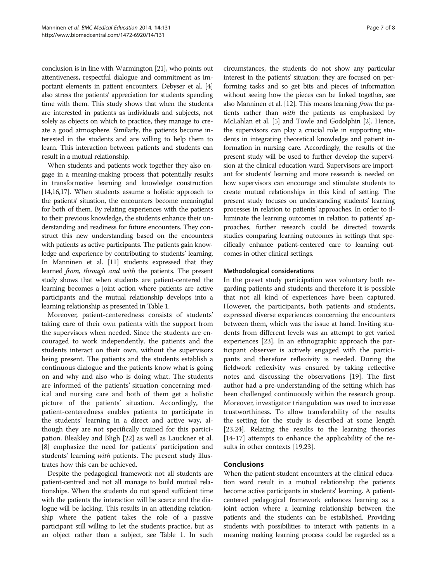conclusion is in line with Warmington [[21](#page-7-0)], who points out attentiveness, respectful dialogue and commitment as important elements in patient encounters. Debyser et al. [[4](#page-7-0)] also stress the patients' appreciation for students spending time with them. This study shows that when the students are interested in patients as individuals and subjects, not solely as objects on which to practice, they manage to create a good atmosphere. Similarly, the patients become interested in the students and are willing to help them to learn. This interaction between patients and students can result in a mutual relationship.

When students and patients work together they also engage in a meaning-making process that potentially results in transformative learning and knowledge construction [[14,16,17\]](#page-7-0). When students assume a holistic approach to the patients' situation, the encounters become meaningful for both of them. By relating experiences with the patients to their previous knowledge, the students enhance their understanding and readiness for future encounters. They construct this new understanding based on the encounters with patients as active participants. The patients gain knowledge and experience by contributing to students' learning. In Manninen et al. [[11](#page-7-0)] students expressed that they learned from, through and with the patients. The present study shows that when students are patient-centered the learning becomes a joint action where patients are active participants and the mutual relationship develops into a learning relationship as presented in Table [1](#page-3-0).

Moreover, patient-centeredness consists of students' taking care of their own patients with the support from the supervisors when needed. Since the students are encouraged to work independently, the patients and the students interact on their own, without the supervisors being present. The patients and the students establish a continuous dialogue and the patients know what is going on and why and also who is doing what. The students are informed of the patients' situation concerning medical and nursing care and both of them get a holistic picture of the patients' situation. Accordingly, the patient-centeredness enables patients to participate in the students' learning in a direct and active way, although they are not specifically trained for this participation. Bleakley and Bligh [\[22](#page-7-0)] as well as Lauckner et al. [[8\]](#page-7-0) emphasize the need for patients' participation and students' learning *with* patients. The present study illustrates how this can be achieved.

Despite the pedagogical framework not all students are patient-centred and not all manage to build mutual relationships. When the students do not spend sufficient time with the patients the interaction will be scarce and the dialogue will be lacking. This results in an attending relationship where the patient takes the role of a passive participant still willing to let the students practice, but as an object rather than a subject, see Table [1](#page-3-0). In such

circumstances, the students do not show any particular interest in the patients' situation; they are focused on performing tasks and so get bits and pieces of information without seeing how the pieces can be linked together, see also Manninen et al. [\[12\]](#page-7-0). This means learning from the patients rather than with the patients as emphasized by McLahlan et al. [\[5\]](#page-7-0) and Towle and Godolphin [\[2\]](#page-7-0). Hence, the supervisors can play a crucial role in supporting students in integrating theoretical knowledge and patient information in nursing care. Accordingly, the results of the present study will be used to further develop the supervision at the clinical education ward. Supervisors are important for students' learning and more research is needed on how supervisors can encourage and stimulate students to create mutual relationships in this kind of setting. The present study focuses on understanding students' learning processes in relation to patients' approaches. In order to illuminate the learning outcomes in relation to patients' approaches, further research could be directed towards studies comparing learning outcomes in settings that specifically enhance patient-centered care to learning outcomes in other clinical settings.

#### Methodological considerations

In the preset study participation was voluntary both regarding patients and students and therefore it is possible that not all kind of experiences have been captured. However, the participants, both patients and students, expressed diverse experiences concerning the encounters between them, which was the issue at hand. Inviting students from different levels was an attempt to get varied experiences [\[23](#page-7-0)]. In an ethnographic approach the participant observer is actively engaged with the participants and therefore reflexivity is needed. During the fieldwork reflexivity was ensured by taking reflective notes and discussing the observations [[19](#page-7-0)]. The first author had a pre-understanding of the setting which has been challenged continuously within the research group. Moreover, investigator triangulation was used to increase trustworthiness. To allow transferability of the results the setting for the study is described at some length [[23,24\]](#page-7-0). Relating the results to the learning theories [[14-17](#page-7-0)] attempts to enhance the applicability of the results in other contexts [\[19,23](#page-7-0)].

## Conclusions

When the patient-student encounters at the clinical education ward result in a mutual relationship the patients become active participants in students' learning. A patientcentered pedagogical framework enhances learning as a joint action where a learning relationship between the patients and the students can be established. Providing students with possibilities to interact with patients in a meaning making learning process could be regarded as a